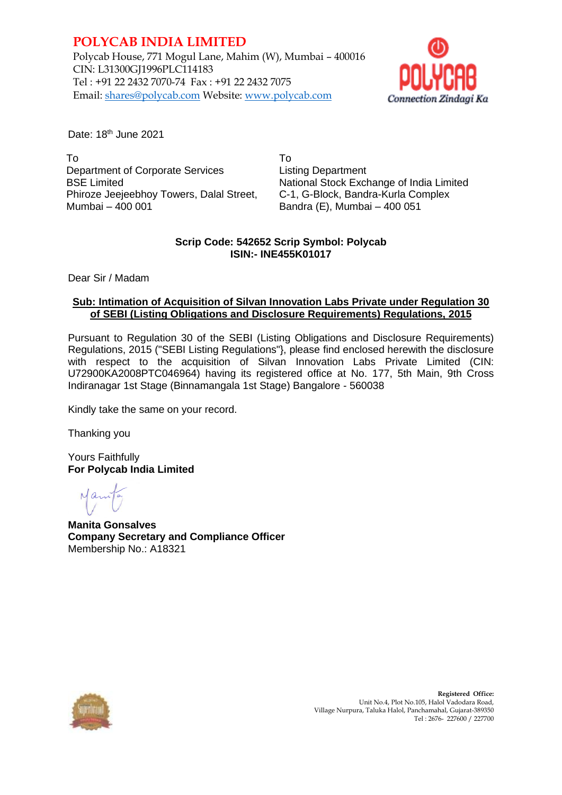## **POLYCAB INDIA LIMITED**

Polycab House, 771 Mogul Lane, Mahim (W), Mumbai – 400016 CIN: L31300GJ1996PLC114183 Tel : +91 22 2432 7070-74 Fax : +91 22 2432 7075 Email: shares@polycab.com Website: [www.polycab.com](http://www.polycab.com/)



Date: 18<sup>th</sup> June 2021

To Department of Corporate Services BSE Limited Phiroze Jeejeebhoy Towers, Dalal Street, Mumbai – 400 001

To Listing Department National Stock Exchange of India Limited C-1, G-Block, Bandra-Kurla Complex Bandra (E), Mumbai – 400 051

### **Scrip Code: 542652 Scrip Symbol: Polycab ISIN:- INE455K01017**

Dear Sir / Madam

#### **Sub: Intimation of Acquisition of Silvan Innovation Labs Private under Regulation 30 of SEBI (Listing Obligations and Disclosure Requirements) Regulations, 2015**

Pursuant to Regulation 30 of the SEBI (Listing Obligations and Disclosure Requirements) Regulations, 2015 ("SEBI Listing Regulations"}, please find enclosed herewith the disclosure with respect to the acquisition of Silvan Innovation Labs Private Limited (CIN: U72900KA2008PTC046964) having its registered office at No. 177, 5th Main, 9th Cross Indiranagar 1st Stage (Binnamangala 1st Stage) Bangalore - 560038

Kindly take the same on your record.

Thanking you

Yours Faithfully **For Polycab India Limited**

**Manita Gonsalves Company Secretary and Compliance Officer** Membership No.: A18321



 **Registered Office:** Unit No.4, Plot No.105, Halol Vadodara Road, Village Nurpura, Taluka Halol, Panchamahal, Gujarat-389350 Tel : 2676- 227600 / 227700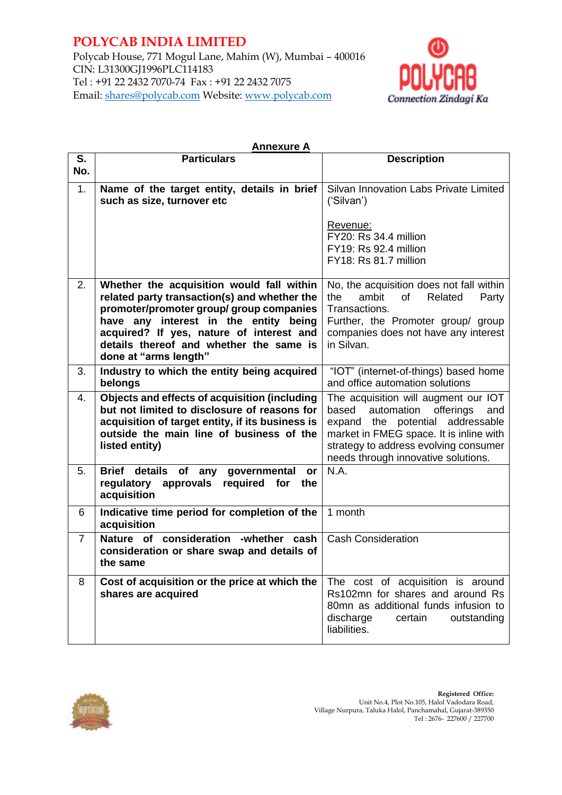## **POLYCAB INDIA LIMITED**

Polycab House, 771 Mogul Lane, Mahim (W), Mumbai – 400016 CIN: L31300GJ1996PLC114183 Tel : +91 22 2432 7070-74 Fax : +91 22 2432 7075 Email: shares@polycab.com Website: [www.polycab.com](http://www.polycab.com/)



| <b>Annexure A</b> |                                                                                                                                                                                                                                                                                                |                                                                                                                                                                                                                                                |
|-------------------|------------------------------------------------------------------------------------------------------------------------------------------------------------------------------------------------------------------------------------------------------------------------------------------------|------------------------------------------------------------------------------------------------------------------------------------------------------------------------------------------------------------------------------------------------|
| S.                | <b>Particulars</b>                                                                                                                                                                                                                                                                             | <b>Description</b>                                                                                                                                                                                                                             |
| No.               |                                                                                                                                                                                                                                                                                                |                                                                                                                                                                                                                                                |
| 1.                | Name of the target entity, details in brief<br>such as size, turnover etc                                                                                                                                                                                                                      | Silvan Innovation Labs Private Limited<br>('Silvan')<br>Revenue:                                                                                                                                                                               |
|                   |                                                                                                                                                                                                                                                                                                | FY20: Rs 34.4 million<br>FY19: Rs 92.4 million<br>FY18: Rs 81.7 million                                                                                                                                                                        |
| 2.                | Whether the acquisition would fall within<br>related party transaction(s) and whether the<br>promoter/promoter group/ group companies<br>have any interest in the entity being<br>acquired? If yes, nature of interest and<br>details thereof and whether the same is<br>done at "arms length" | No, the acquisition does not fall within<br>of<br>the<br>ambit<br>Related<br>Party<br>Transactions.<br>Further, the Promoter group/ group<br>companies does not have any interest<br>in Silvan.                                                |
| 3.                | Industry to which the entity being acquired<br>belongs                                                                                                                                                                                                                                         | "IOT" (internet-of-things) based home<br>and office automation solutions                                                                                                                                                                       |
| 4.                | Objects and effects of acquisition (including<br>but not limited to disclosure of reasons for<br>acquisition of target entity, if its business is<br>outside the main line of business of the<br>listed entity)                                                                                | The acquisition will augment our IOT<br>automation<br>offerings<br>based<br>and<br>expand the potential addressable<br>market in FMEG space. It is inline with<br>strategy to address evolving consumer<br>needs through innovative solutions. |
| 5.                | <b>Brief</b><br>details<br>of<br>any<br>governmental<br>or<br>regulatory<br>approvals<br>required<br>for<br>the<br>acquisition                                                                                                                                                                 | N.A.                                                                                                                                                                                                                                           |
| 6                 | Indicative time period for completion of the<br>acquisition                                                                                                                                                                                                                                    | 1 month                                                                                                                                                                                                                                        |
| 7                 | Nature of consideration<br>-whether<br>cash<br>consideration or share swap and details of<br>the same                                                                                                                                                                                          | <b>Cash Consideration</b>                                                                                                                                                                                                                      |
| 8                 | Cost of acquisition or the price at which the<br>shares are acquired                                                                                                                                                                                                                           | The cost of acquisition is around<br>Rs102mn for shares and around Rs<br>80mn as additional funds infusion to<br>discharge<br>certain<br>outstanding<br>liabilities.                                                                           |

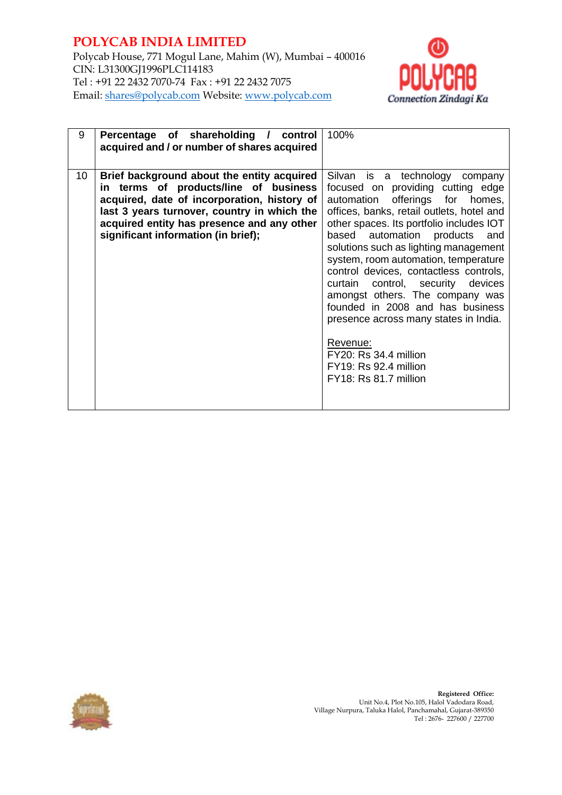### **POLYCAB INDIA LIMITED** Polycab House, 771 Mogul Lane, Mahim (W), Mumbai – 400016 CIN: L31300GJ1996PLC114183 Tel : +91 22 2432 7070-74 Fax : +91 22 2432 7075 Email: shares@polycab.com Website: [www.polycab.com](http://www.polycab.com/)



| 9  | Percentage of shareholding /<br>control<br>acquired and / or number of shares acquired                                                                                                                                                                                 | 100%                                                                                                                                                                                                                                                                                                                                                                                                                                                                                                                                                                                                             |
|----|------------------------------------------------------------------------------------------------------------------------------------------------------------------------------------------------------------------------------------------------------------------------|------------------------------------------------------------------------------------------------------------------------------------------------------------------------------------------------------------------------------------------------------------------------------------------------------------------------------------------------------------------------------------------------------------------------------------------------------------------------------------------------------------------------------------------------------------------------------------------------------------------|
| 10 | Brief background about the entity acquired<br>in terms of products/line of business<br>acquired, date of incorporation, history of<br>last 3 years turnover, country in which the<br>acquired entity has presence and any other<br>significant information (in brief); | Silvan is a technology company<br>focused on providing cutting edge<br>offerings for homes,<br>automation<br>offices, banks, retail outlets, hotel and<br>other spaces. Its portfolio includes IOT<br>automation products<br>based<br>and<br>solutions such as lighting management<br>system, room automation, temperature<br>control devices, contactless controls,<br>curtain control, security devices<br>amongst others. The company was<br>founded in 2008 and has business<br>presence across many states in India.<br>Revenue:<br>FY20: Rs 34.4 million<br>FY19: Rs 92.4 million<br>FY18: Rs 81.7 million |

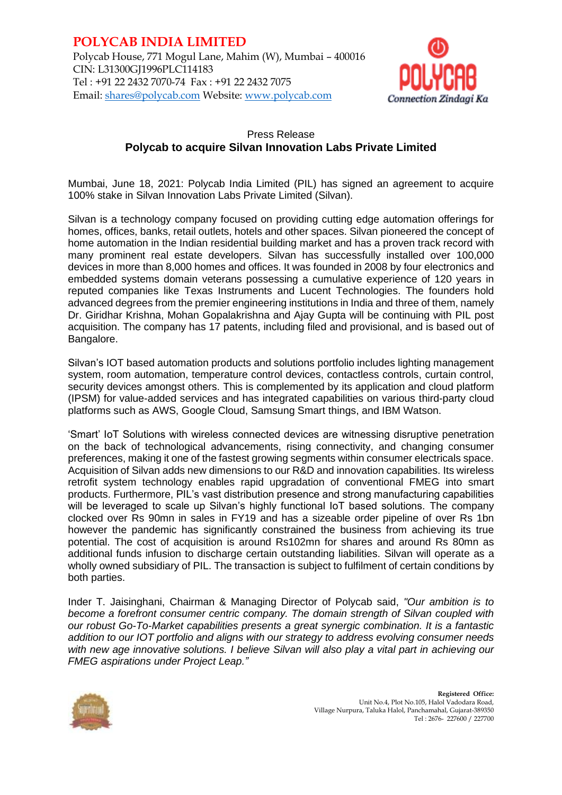

## Press Release **Polycab to acquire Silvan Innovation Labs Private Limited**

Mumbai, June 18, 2021: Polycab India Limited (PIL) has signed an agreement to acquire 100% stake in Silvan Innovation Labs Private Limited (Silvan).

Silvan is a technology company focused on providing cutting edge automation offerings for homes, offices, banks, retail outlets, hotels and other spaces. Silvan pioneered the concept of home automation in the Indian residential building market and has a proven track record with many prominent real estate developers. Silvan has successfully installed over 100,000 devices in more than 8,000 homes and offices. It was founded in 2008 by four electronics and embedded systems domain veterans possessing a cumulative experience of 120 years in reputed companies like Texas Instruments and Lucent Technologies. The founders hold advanced degrees from the premier engineering institutions in India and three of them, namely Dr. Giridhar Krishna, Mohan Gopalakrishna and Ajay Gupta will be continuing with PIL post acquisition. The company has 17 patents, including filed and provisional, and is based out of Bangalore.

Silvan's IOT based automation products and solutions portfolio includes lighting management system, room automation, temperature control devices, contactless controls, curtain control, security devices amongst others. This is complemented by its application and cloud platform (IPSM) for value-added services and has integrated capabilities on various third-party cloud platforms such as AWS, Google Cloud, Samsung Smart things, and IBM Watson.

'Smart' IoT Solutions with wireless connected devices are witnessing disruptive penetration on the back of technological advancements, rising connectivity, and changing consumer preferences, making it one of the fastest growing segments within consumer electricals space. Acquisition of Silvan adds new dimensions to our R&D and innovation capabilities. Its wireless retrofit system technology enables rapid upgradation of conventional FMEG into smart products. Furthermore, PIL's vast distribution presence and strong manufacturing capabilities will be leveraged to scale up Silvan's highly functional IoT based solutions. The company clocked over Rs 90mn in sales in FY19 and has a sizeable order pipeline of over Rs 1bn however the pandemic has significantly constrained the business from achieving its true potential. The cost of acquisition is around Rs102mn for shares and around Rs 80mn as additional funds infusion to discharge certain outstanding liabilities. Silvan will operate as a wholly owned subsidiary of PIL. The transaction is subject to fulfilment of certain conditions by both parties.

Inder T. Jaisinghani, Chairman & Managing Director of Polycab said, *"Our ambition is to become a forefront consumer centric company. The domain strength of Silvan coupled with our robust Go-To-Market capabilities presents a great synergic combination. It is a fantastic addition to our IOT portfolio and aligns with our strategy to address evolving consumer needs with new age innovative solutions. I believe Silvan will also play a vital part in achieving our FMEG aspirations under Project Leap."*